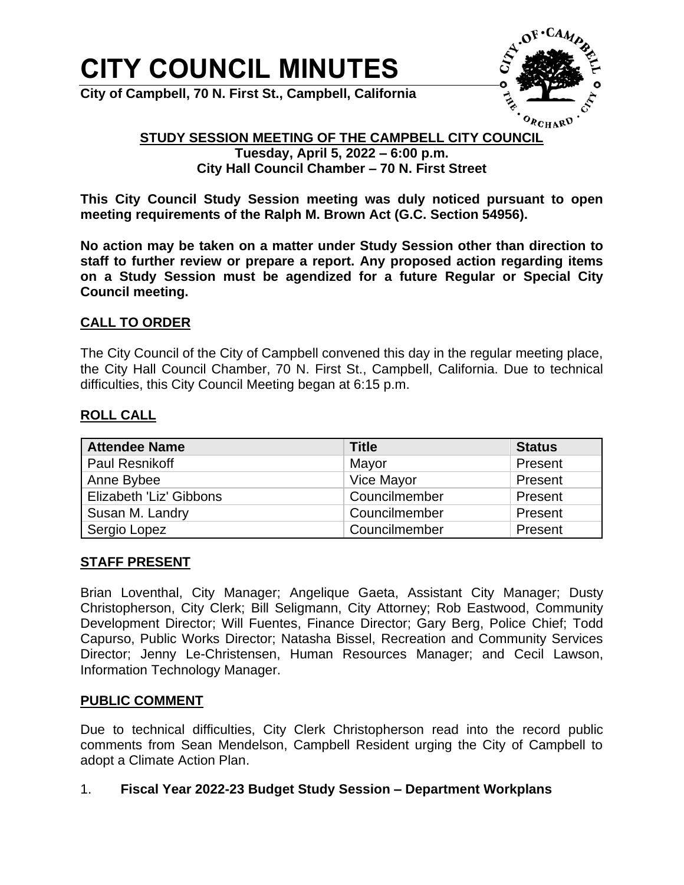# **CITY COUNCIL MINUTES**

**City of Campbell, 70 N. First St., Campbell, California**



## **STUDY SESSION MEETING OF THE CAMPBELL CITY COUNCIL**

**Tuesday, April 5, 2022 – 6:00 p.m. City Hall Council Chamber – 70 N. First Street**

**This City Council Study Session meeting was duly noticed pursuant to open meeting requirements of the Ralph M. Brown Act (G.C. Section 54956).**

**No action may be taken on a matter under Study Session other than direction to staff to further review or prepare a report. Any proposed action regarding items on a Study Session must be agendized for a future Regular or Special City Council meeting.**

#### **CALL TO ORDER**

The City Council of the City of Campbell convened this day in the regular meeting place, the City Hall Council Chamber, 70 N. First St., Campbell, California. Due to technical difficulties, this City Council Meeting began at 6:15 p.m.

#### **ROLL CALL**

| <b>Attendee Name</b>    | <b>Title</b>  | <b>Status</b> |
|-------------------------|---------------|---------------|
| <b>Paul Resnikoff</b>   | Mayor         | Present       |
| Anne Bybee              | Vice Mayor    | Present       |
| Elizabeth 'Liz' Gibbons | Councilmember | Present       |
| Susan M. Landry         | Councilmember | Present       |
| Sergio Lopez            | Councilmember | Present       |

#### **STAFF PRESENT**

Brian Loventhal, City Manager; Angelique Gaeta, Assistant City Manager; Dusty Christopherson, City Clerk; Bill Seligmann, City Attorney; Rob Eastwood, Community Development Director; Will Fuentes, Finance Director; Gary Berg, Police Chief; Todd Capurso, Public Works Director; Natasha Bissel, Recreation and Community Services Director; Jenny Le-Christensen, Human Resources Manager; and Cecil Lawson, Information Technology Manager.

## **PUBLIC COMMENT**

Due to technical difficulties, City Clerk Christopherson read into the record public comments from Sean Mendelson, Campbell Resident urging the City of Campbell to adopt a Climate Action Plan.

#### 1. **Fiscal Year 2022-23 Budget Study Session – Department Workplans**